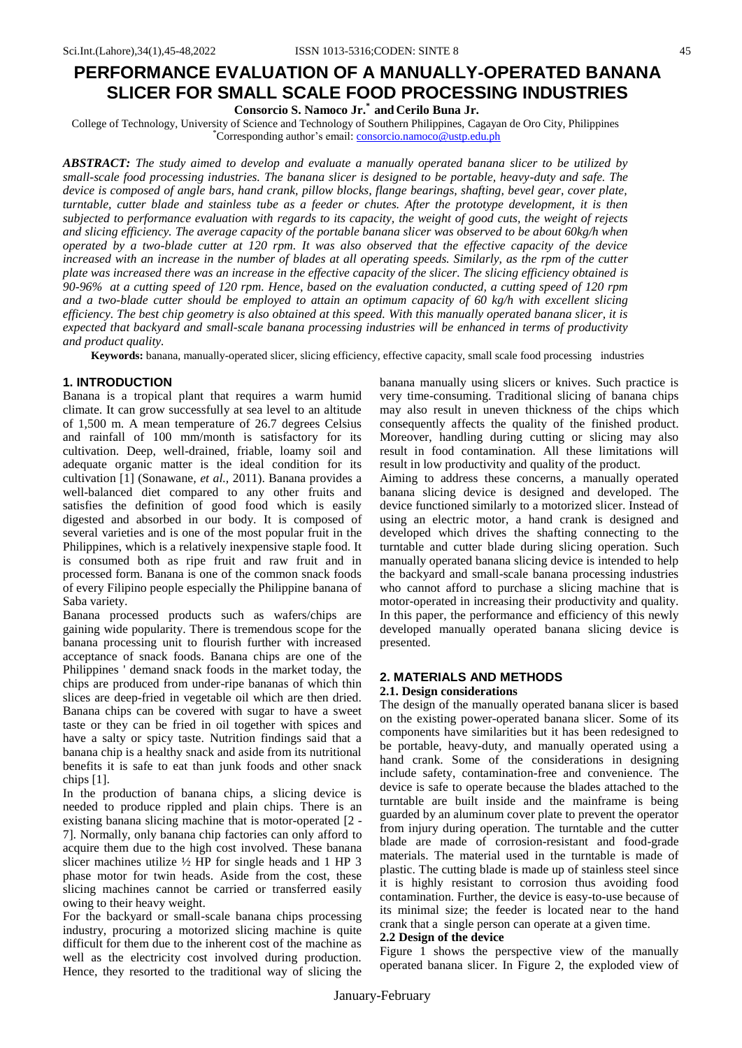**Consorcio S. Namoco Jr.\* and Cerilo Buna Jr.**

College of Technology, University of Science and Technology of Southern Philippines, Cagayan de Oro City, Philippines \*Corresponding author's email: [consorcio.namoco@ustp.edu.ph](mailto:consorcio.namoco@ustp.edu.ph)

*ABSTRACT: The study aimed to develop and evaluate a manually operated banana slicer to be utilized by small-scale food processing industries. The banana slicer is designed to be portable, heavy-duty and safe. The device is composed of angle bars, hand crank, pillow blocks, flange bearings, shafting, bevel gear, cover plate, turntable, cutter blade and stainless tube as a feeder or chutes. After the prototype development, it is then subjected to performance evaluation with regards to its capacity, the weight of good cuts, the weight of rejects and slicing efficiency. The average capacity of the portable banana slicer was observed to be about 60kg/h when operated by a two-blade cutter at 120 rpm. It was also observed that the effective capacity of the device*  increased with an increase in the number of blades at all operating speeds. Similarly, as the rpm of the cutter *plate was increased there was an increase in the effective capacity of the slicer. The slicing efficiency obtained is 90-96% at a cutting speed of 120 rpm. Hence, based on the evaluation conducted, a cutting speed of 120 rpm and a two-blade cutter should be employed to attain an optimum capacity of 60 kg/h with excellent slicing efficiency. The best chip geometry is also obtained at this speed. With this manually operated banana slicer, it is expected that backyard and small-scale banana processing industries will be enhanced in terms of productivity and product quality.*

**Keywords:** banana, manually-operated slicer, slicing efficiency, effective capacity, small scale food processing industries

# **1. INTRODUCTION**

Banana is a tropical plant that requires a warm humid climate. It can grow successfully at sea level to an altitude of 1,500 m. A mean temperature of 26.7 degrees Celsius and rainfall of 100 mm/month is satisfactory for its cultivation. Deep, well-drained, friable, loamy soil and adequate organic matter is the ideal condition for its cultivation [1] (Sonawane*, et al.,* 2011). Banana provides a well-balanced diet compared to any other fruits and satisfies the definition of good food which is easily digested and absorbed in our body. It is composed of several varieties and is one of the most popular fruit in the Philippines, which is a relatively inexpensive staple food. It is consumed both as ripe fruit and raw fruit and in processed form. Banana is one of the common snack foods of every Filipino people especially the Philippine banana of Saba variety.

Banana processed products such as wafers/chips are gaining wide popularity. There is tremendous scope for the banana processing unit to flourish further with increased acceptance of snack foods. Banana chips are one of the Philippines ' demand snack foods in the market today, the chips are produced from under-ripe bananas of which thin slices are deep-fried in vegetable oil which are then dried. Banana chips can be covered with sugar to have a sweet taste or they can be fried in oil together with spices and have a salty or spicy taste. Nutrition findings said that a banana chip is a healthy snack and aside from its nutritional benefits it is safe to eat than junk foods and other snack chips [1].

In the production of banana chips, a slicing device is needed to produce rippled and plain chips. There is an existing banana slicing machine that is motor-operated [2 - 7]. Normally, only banana chip factories can only afford to acquire them due to the high cost involved. These banana slicer machines utilize  $\frac{1}{2}$  HP for single heads and 1 HP 3 phase motor for twin heads. Aside from the cost, these slicing machines cannot be carried or transferred easily owing to their heavy weight.

For the backyard or small-scale banana chips processing industry, procuring a motorized slicing machine is quite difficult for them due to the inherent cost of the machine as well as the electricity cost involved during production. Hence, they resorted to the traditional way of slicing the banana manually using slicers or knives. Such practice is very time-consuming. Traditional slicing of banana chips may also result in uneven thickness of the chips which consequently affects the quality of the finished product. Moreover, handling during cutting or slicing may also result in food contamination. All these limitations will result in low productivity and quality of the product. Aiming to address these concerns, a manually operated

banana slicing device is designed and developed. The device functioned similarly to a motorized slicer. Instead of using an electric motor, a hand crank is designed and developed which drives the shafting connecting to the turntable and cutter blade during slicing operation. Such manually operated banana slicing device is intended to help the backyard and small-scale banana processing industries who cannot afford to purchase a slicing machine that is motor-operated in increasing their productivity and quality. In this paper, the performance and efficiency of this newly developed manually operated banana slicing device is presented.

# **2. MATERIALS AND METHODS**

#### **2.1. Design considerations**

The design of the manually operated banana slicer is based on the existing power-operated banana slicer. Some of its components have similarities but it has been redesigned to be portable, heavy-duty, and manually operated using a hand crank. Some of the considerations in designing include safety, contamination-free and convenience. The device is safe to operate because the blades attached to the turntable are built inside and the mainframe is being guarded by an aluminum cover plate to prevent the operator from injury during operation. The turntable and the cutter blade are made of corrosion-resistant and food-grade materials. The material used in the turntable is made of plastic. The cutting blade is made up of stainless steel since it is highly resistant to corrosion thus avoiding food contamination. Further, the device is easy-to-use because of its minimal size; the feeder is located near to the hand crank that a single person can operate at a given time.

### **2.2 Design of the device**

Figure 1 shows the perspective view of the manually operated banana slicer. In Figure 2, the exploded view of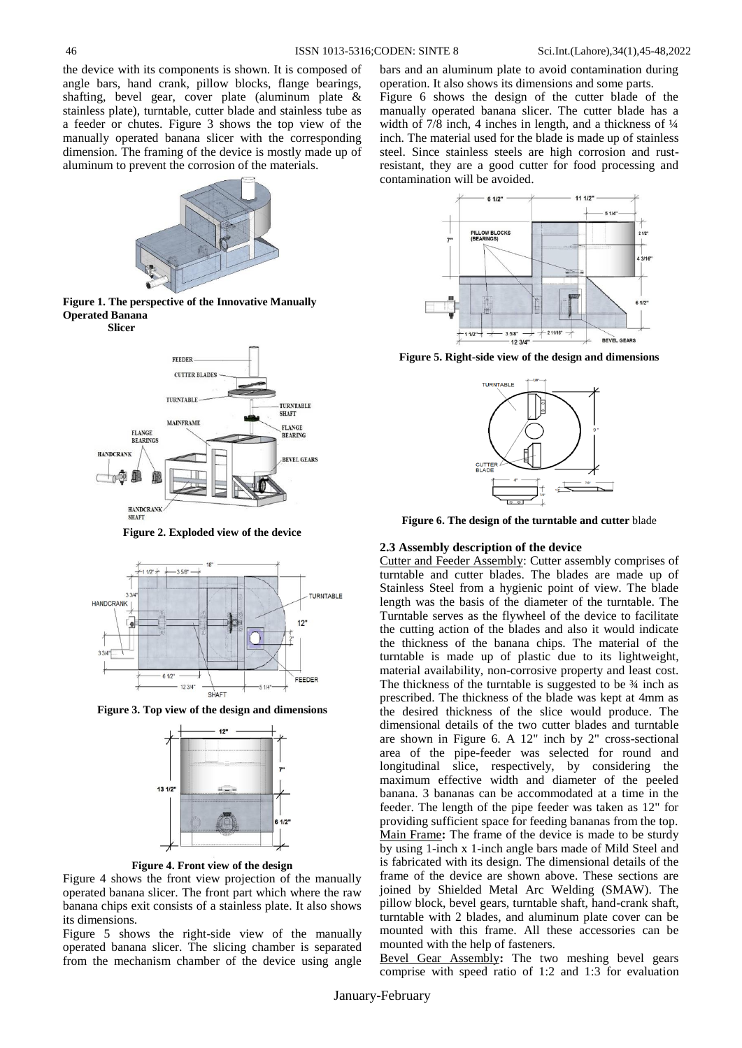the device with its components is shown. It is composed of angle bars, hand crank, pillow blocks, flange bearings, shafting, bevel gear, cover plate (aluminum plate & stainless plate), turntable, cutter blade and stainless tube as a feeder or chutes. Figure 3 shows the top view of the manually operated banana slicer with the corresponding dimension. The framing of the device is mostly made up of aluminum to prevent the corrosion of the materials.







**Figure 2. Exploded view of the device**



**Figure 3. Top view of the design and dimensions**



**Figure 4. Front view of the design**

Figure 4 shows the front view projection of the manually operated banana slicer. The front part which where the raw banana chips exit consists of a stainless plate. It also shows its dimensions.

Figure 5 shows the right-side view of the manually operated banana slicer. The slicing chamber is separated from the mechanism chamber of the device using angle

bars and an aluminum plate to avoid contamination during operation. It also shows its dimensions and some parts. Figure 6 shows the design of the cutter blade of the manually operated banana slicer. The cutter blade has a width of  $7/8$  inch, 4 inches in length, and a thickness of  $\frac{1}{4}$ inch. The material used for the blade is made up of stainless steel. Since stainless steels are high corrosion and rustresistant, they are a good cutter for food processing and contamination will be avoided.



**Figure 5. Right-side view of the design and dimensions**



**Figure 6. The design of the turntable and cutter** blade

#### **2.3 Assembly description of the device**

Cutter and Feeder Assembly: Cutter assembly comprises of turntable and cutter blades. The blades are made up of Stainless Steel from a hygienic point of view. The blade length was the basis of the diameter of the turntable. The Turntable serves as the flywheel of the device to facilitate the cutting action of the blades and also it would indicate the thickness of the banana chips. The material of the turntable is made up of plastic due to its lightweight, material availability, non-corrosive property and least cost. The thickness of the turntable is suggested to be  $\frac{3}{4}$  inch as prescribed. The thickness of the blade was kept at 4mm as the desired thickness of the slice would produce. The dimensional details of the two cutter blades and turntable are shown in Figure 6. A 12" inch by 2" cross-sectional area of the pipe-feeder was selected for round and longitudinal slice, respectively, by considering the maximum effective width and diameter of the peeled banana. 3 bananas can be accommodated at a time in the feeder. The length of the pipe feeder was taken as 12" for providing sufficient space for feeding bananas from the top. Main Frame**:** The frame of the device is made to be sturdy by using 1-inch x 1-inch angle bars made of Mild Steel and is fabricated with its design. The dimensional details of the frame of the device are shown above. These sections are joined by Shielded Metal Arc Welding (SMAW). The pillow block, bevel gears, turntable shaft, hand-crank shaft, turntable with 2 blades, and aluminum plate cover can be mounted with this frame. All these accessories can be mounted with the help of fasteners.

Bevel Gear Assembly**:** The two meshing bevel gears comprise with speed ratio of 1:2 and 1:3 for evaluation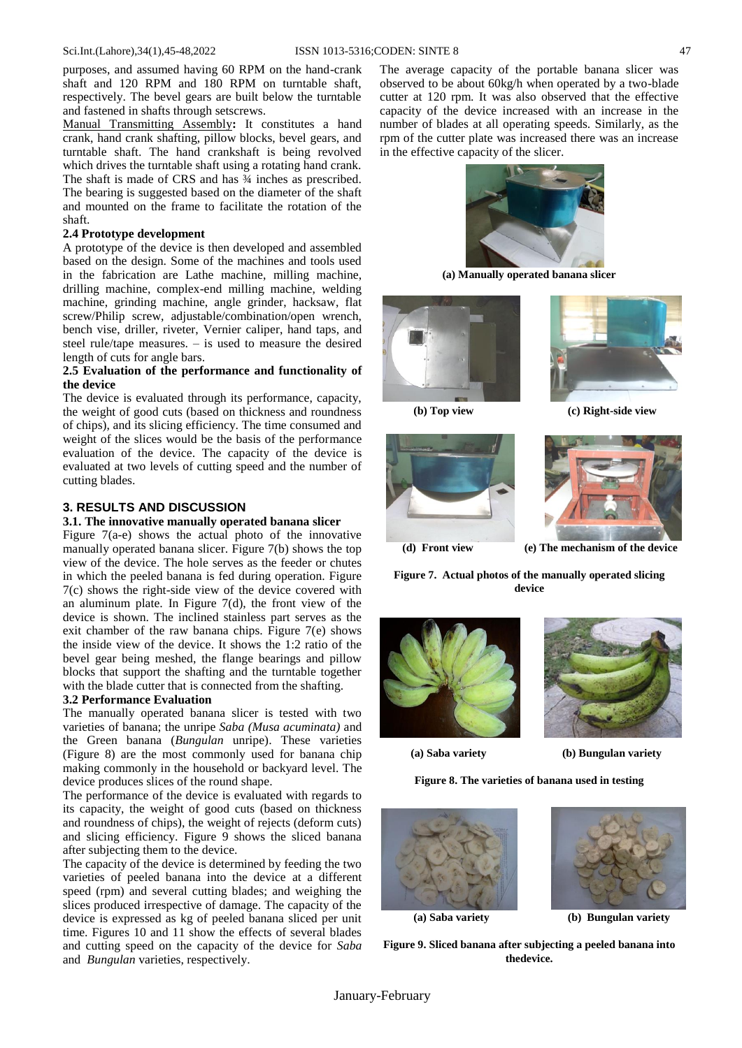purposes, and assumed having 60 RPM on the hand-crank shaft and 120 RPM and 180 RPM on turntable shaft, respectively. The bevel gears are built below the turntable and fastened in shafts through setscrews.

Manual Transmitting Assembly**:** It constitutes a hand crank, hand crank shafting, pillow blocks, bevel gears, and turntable shaft. The hand crankshaft is being revolved which drives the turntable shaft using a rotating hand crank. The shaft is made of CRS and has ¾ inches as prescribed. The bearing is suggested based on the diameter of the shaft and mounted on the frame to facilitate the rotation of the shaft.

#### **2.4 Prototype development**

A prototype of the device is then developed and assembled based on the design. Some of the machines and tools used in the fabrication are Lathe machine, milling machine, drilling machine, complex-end milling machine, welding machine, grinding machine, angle grinder, hacksaw, flat screw/Philip screw, adjustable/combination/open wrench, bench vise, driller, riveter, Vernier caliper, hand taps, and steel rule/tape measures. – is used to measure the desired length of cuts for angle bars.

### **2.5 Evaluation of the performance and functionality of the device**

The device is evaluated through its performance, capacity, the weight of good cuts (based on thickness and roundness of chips), and its slicing efficiency. The time consumed and weight of the slices would be the basis of the performance evaluation of the device. The capacity of the device is evaluated at two levels of cutting speed and the number of cutting blades.

## **3. RESULTS AND DISCUSSION**

## **3.1. The innovative manually operated banana slicer**

Figure  $7(a-e)$  shows the actual photo of the innovative manually operated banana slicer. Figure 7(b) shows the top view of the device. The hole serves as the feeder or chutes in which the peeled banana is fed during operation. Figure 7(c) shows the right-side view of the device covered with an aluminum plate. In Figure 7(d), the front view of the device is shown. The inclined stainless part serves as the exit chamber of the raw banana chips. Figure 7(e) shows the inside view of the device. It shows the 1:2 ratio of the bevel gear being meshed, the flange bearings and pillow blocks that support the shafting and the turntable together with the blade cutter that is connected from the shafting.

# **3.2 Performance Evaluation**

The manually operated banana slicer is tested with two varieties of banana; the unripe *Saba (Musa acuminata)* and the Green banana (*Bungulan* unripe). These varieties (Figure 8) are the most commonly used for banana chip making commonly in the household or backyard level. The device produces slices of the round shape.

The performance of the device is evaluated with regards to its capacity, the weight of good cuts (based on thickness and roundness of chips), the weight of rejects (deform cuts) and slicing efficiency. Figure 9 shows the sliced banana after subjecting them to the device.

The capacity of the device is determined by feeding the two varieties of peeled banana into the device at a different speed (rpm) and several cutting blades; and weighing the slices produced irrespective of damage. The capacity of the device is expressed as kg of peeled banana sliced per unit time. Figures 10 and 11 show the effects of several blades and cutting speed on the capacity of the device for *Saba* and *Bungulan* varieties, respectively.

The average capacity of the portable banana slicer was observed to be about 60kg/h when operated by a two-blade cutter at 120 rpm. It was also observed that the effective capacity of the device increased with an increase in the number of blades at all operating speeds. Similarly, as the rpm of the cutter plate was increased there was an increase in the effective capacity of the slicer.



**(a) Manually operated banana slicer**





 **(b) Top view (c) Right-side view**





 **(d) Front view (e) The mechanism of the device**

**Figure 7. Actual photos of the manually operated slicing device**





 **(a) Saba variety (b) Bungulan variety**

**Figure 8. The varieties of banana used in testing**







 **(a) Saba variety (b) Bungulan variety**

**Figure 9. Sliced banana after subjecting a peeled banana into thedevice.**